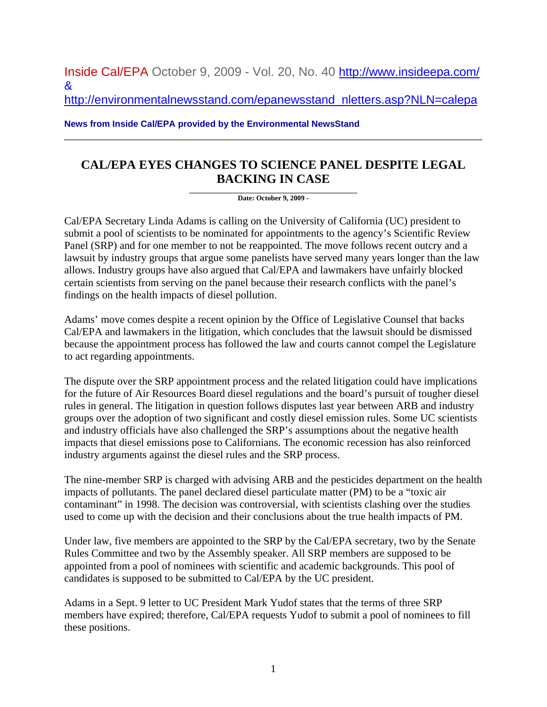Inside Cal/EPA October 9, 2009 - Vol. 20, No. 40 <http://www.insideepa.com/> &

[http://environmentalnewsstand.com/epanewsstand\\_nletters.asp?NLN=calepa](http://environmentalnewsstand.com/epanewsstand_nletters.asp?NLN=calepa)

**News from Inside Cal/EPA provided by the Environmental NewsStand**

## **CAL/EPA EYES CHANGES TO SCIENCE PANEL DESPITE LEGAL BACKING IN CASE**

**\_\_\_\_\_\_\_\_\_\_\_\_\_\_\_\_\_\_\_\_\_\_\_\_\_\_\_\_\_\_\_\_\_\_\_\_\_\_\_\_\_\_\_\_\_\_\_ Date: October 9, 2009 -**

Cal/EPA Secretary Linda Adams is calling on the University of California (UC) president to submit a pool of scientists to be nominated for appointments to the agency's Scientific Review Panel (SRP) and for one member to not be reappointed. The move follows recent outcry and a lawsuit by industry groups that argue some panelists have served many years longer than the law allows. Industry groups have also argued that Cal/EPA and lawmakers have unfairly blocked certain scientists from serving on the panel because their research conflicts with the panel's findings on the health impacts of diesel pollution.

Adams' move comes despite a recent opinion by the Office of Legislative Counsel that backs Cal/EPA and lawmakers in the litigation, which concludes that the lawsuit should be dismissed because the appointment process has followed the law and courts cannot compel the Legislature to act regarding appointments.

The dispute over the SRP appointment process and the related litigation could have implications for the future of Air Resources Board diesel regulations and the board's pursuit of tougher diesel rules in general. The litigation in question follows disputes last year between ARB and industry groups over the adoption of two significant and costly diesel emission rules. Some UC scientists and industry officials have also challenged the SRP's assumptions about the negative health impacts that diesel emissions pose to Californians. The economic recession has also reinforced industry arguments against the diesel rules and the SRP process.

The nine-member SRP is charged with advising ARB and the pesticides department on the health impacts of pollutants. The panel declared diesel particulate matter (PM) to be a "toxic air contaminant" in 1998. The decision was controversial, with scientists clashing over the studies used to come up with the decision and their conclusions about the true health impacts of PM.

Under law, five members are appointed to the SRP by the Cal/EPA secretary, two by the Senate Rules Committee and two by the Assembly speaker. All SRP members are supposed to be appointed from a pool of nominees with scientific and academic backgrounds. This pool of candidates is supposed to be submitted to Cal/EPA by the UC president.

Adams in a Sept. 9 letter to UC President Mark Yudof states that the terms of three SRP members have expired; therefore, Cal/EPA requests Yudof to submit a pool of nominees to fill these positions.